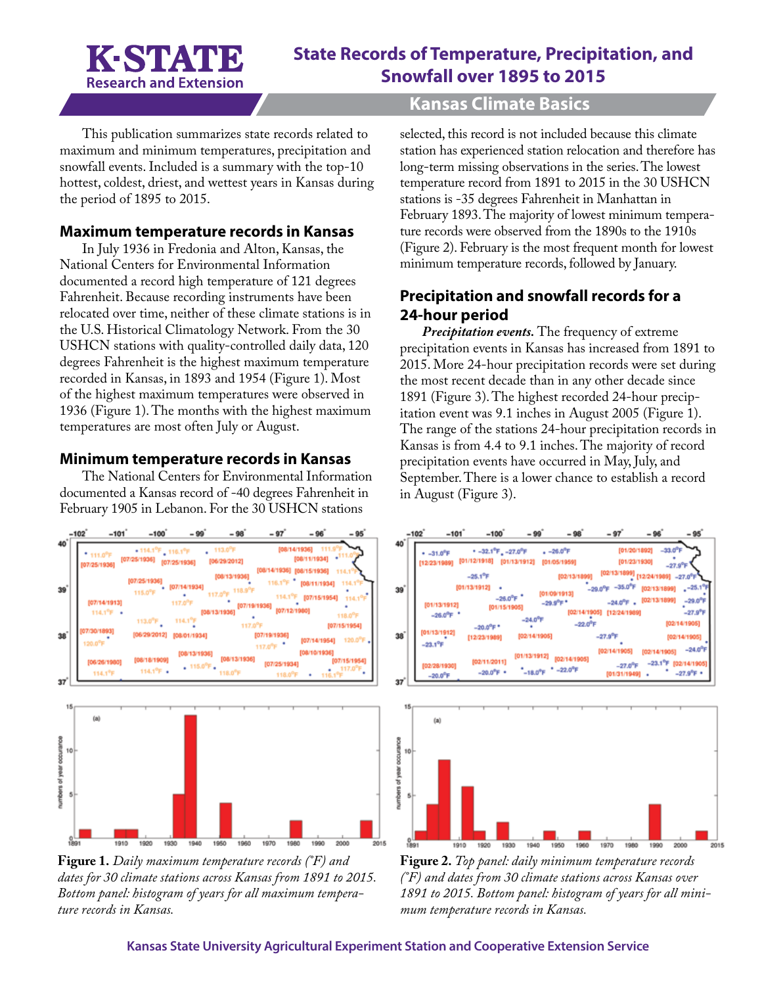

# **State Records of Temperature, Precipitation, and Snowfall over 1895 to 2015**

## **Kansas Climate Basics**

This publication summarizes state records related to maximum and minimum temperatures, precipitation and snowfall events. Included is a summary with the top-10 hottest, coldest, driest, and wettest years in Kansas during the period of 1895 to 2015.

#### **Maximum temperature records in Kansas**

In July 1936 in Fredonia and Alton, Kansas, the National Centers for Environmental Information documented a record high temperature of 121 degrees Fahrenheit. Because recording instruments have been relocated over time, neither of these climate stations is in the U.S. Historical Climatology Network. From the 30 USHCN stations with quality-controlled daily data, 120 degrees Fahrenheit is the highest maximum temperature recorded in Kansas, in 1893 and 1954 (Figure 1). Most of the highest maximum temperatures were observed in 1936 (Figure 1). The months with the highest maximum temperatures are most often July or August.

#### **Minimum temperature records in Kansas**

The National Centers for Environmental Information documented a Kansas record of -40 degrees Fahrenheit in February 1905 in Lebanon. For the 30 USHCN stations



**Figure 1.** *Daily maximum temperature records (°F) and dates for 30 climate stations across Kansas from 1891 to 2015. Bottom panel: histogram of years for all maximum temperature records in Kansas.*

selected, this record is not included because this climate station has experienced station relocation and therefore has long-term missing observations in the series. The lowest temperature record from 1891 to 2015 in the 30 USHCN stations is -35 degrees Fahrenheit in Manhattan in February 1893. The majority of lowest minimum temperature records were observed from the 1890s to the 1910s (Figure 2). February is the most frequent month for lowest minimum temperature records, followed by January.

# **Precipitation and snowfall records for a 24-hour period**

*Precipitation events.* The frequency of extreme precipitation events in Kansas has increased from 1891 to 2015. More 24-hour precipitation records were set during the most recent decade than in any other decade since 1891 (Figure 3). The highest recorded 24-hour precipitation event was 9.1 inches in August 2005 (Figure 1). The range of the stations 24-hour precipitation records in Kansas is from 4.4 to 9.1 inches. The majority of record precipitation events have occurred in May, July, and September. There is a lower chance to establish a record in August (Figure 3).



**Figure 2.** *Top panel: daily minimum temperature records (°F) and dates from 30 climate stations across Kansas over 1891 to 2015. Bottom panel: histogram of years for all minimum temperature records in Kansas.*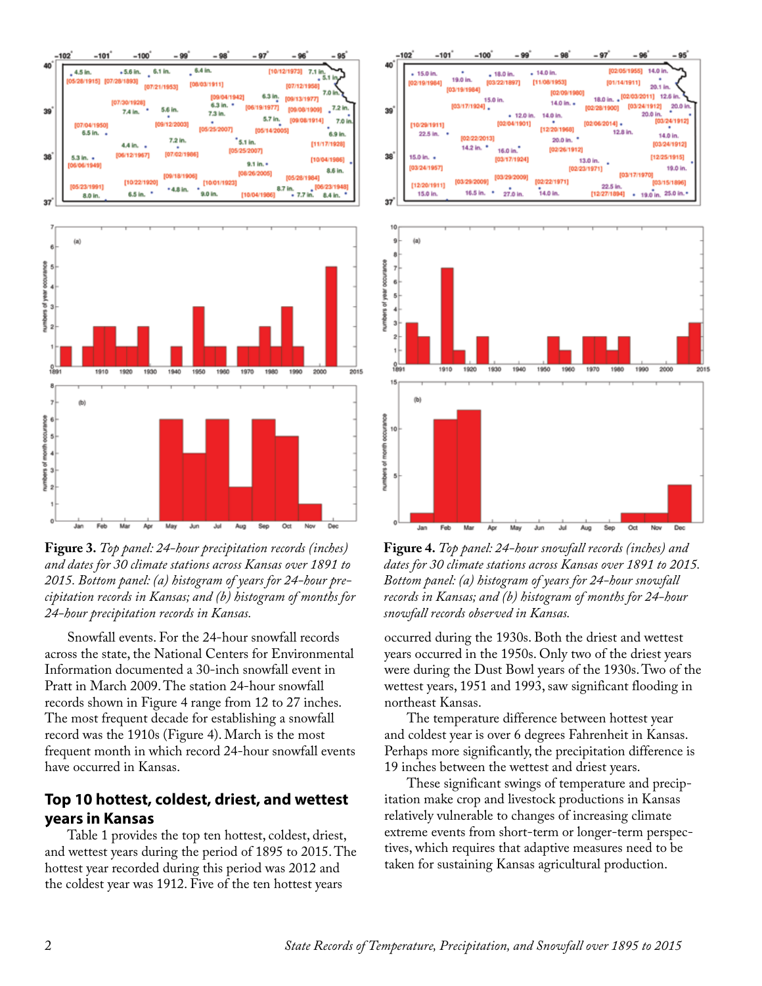

**Figure 3.** *Top panel: 24-hour precipitation records (inches) and dates for 30 climate stations across Kansas over 1891 to 2015. Bottom panel: (a) histogram of years for 24-hour precipitation records in Kansas; and (b) histogram of months for 24-hour precipitation records in Kansas.*

Snowfall events. For the 24-hour snowfall records across the state, the National Centers for Environmental Information documented a 30-inch snowfall event in Pratt in March 2009. The station 24-hour snowfall records shown in Figure 4 range from 12 to 27 inches. The most frequent decade for establishing a snowfall record was the 1910s (Figure 4). March is the most frequent month in which record 24-hour snowfall events have occurred in Kansas.

## **Top 10 hottest, coldest, driest, and wettest years in Kansas**

Table 1 provides the top ten hottest, coldest, driest, and wettest years during the period of 1895 to 2015. The hottest year recorded during this period was 2012 and the coldest year was 1912. Five of the ten hottest years





**Figure 4.** *Top panel: 24-hour snowfall records (inches) and dates for 30 climate stations across Kansas over 1891 to 2015. Bottom panel: (a) histogram of years for 24-hour snowfall records in Kansas; and (b) histogram of months for 24-hour snowfall records observed in Kansas.*

occurred during the 1930s. Both the driest and wettest years occurred in the 1950s. Only two of the driest years were during the Dust Bowl years of the 1930s. Two of the wettest years, 1951 and 1993, saw significant flooding in northeast Kansas.

The temperature difference between hottest year and coldest year is over 6 degrees Fahrenheit in Kansas. Perhaps more significantly, the precipitation difference is 19 inches between the wettest and driest years.

These significant swings of temperature and precipitation make crop and livestock productions in Kansas relatively vulnerable to changes of increasing climate extreme events from short-term or longer-term perspectives, which requires that adaptive measures need to be taken for sustaining Kansas agricultural production.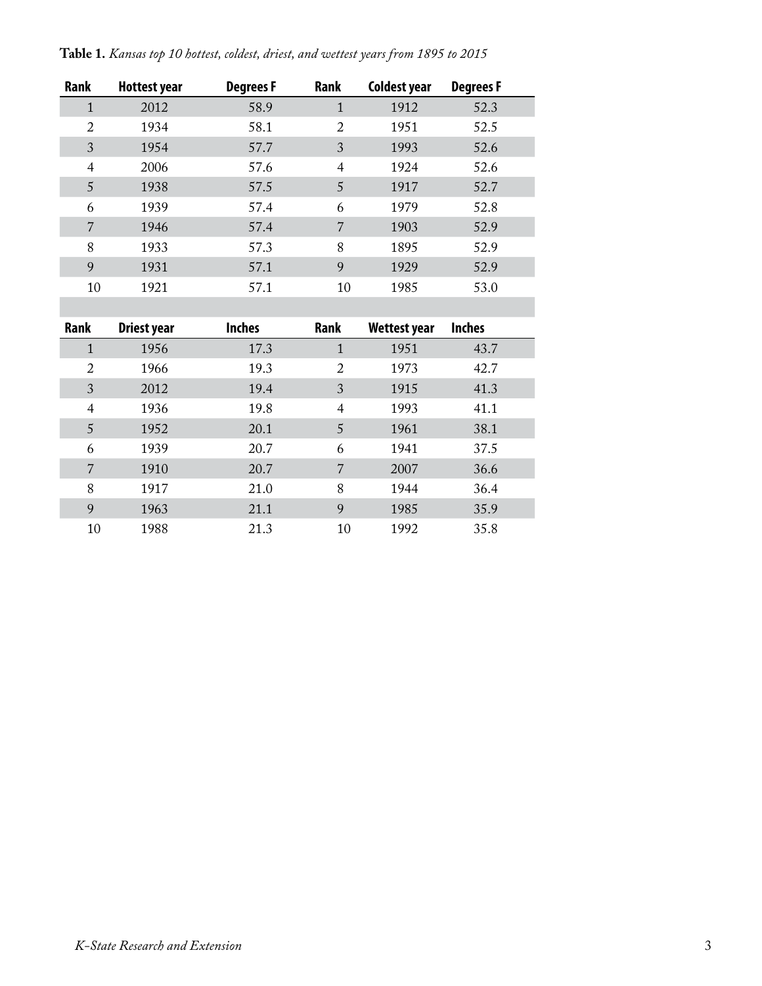| Table 1. Kansas top 10 hottest, coldest, driest, and wettest years from 1895 to 2015 |  |  |  |
|--------------------------------------------------------------------------------------|--|--|--|
|--------------------------------------------------------------------------------------|--|--|--|

| <b>Rank</b>    | <b>Hottest year</b> | <b>Degrees F</b> | Rank | Coldest year | <b>Degrees F</b> |
|----------------|---------------------|------------------|------|--------------|------------------|
| $\mathbf{1}$   | 2012                | 58.9             | 1    | 1912         | 52.3             |
| 2              | 1934                | 58.1             | 2    | 1951         | 52.5             |
| 3              | 1954                | 57.7             | 3    | 1993         | 52.6             |
| $\overline{4}$ | 2006                | 57.6             | 4    | 1924         | 52.6             |
| 5              | 1938                | 57.5             | 5    | 1917         | 52.7             |
| 6              | 1939                | 57.4             | 6    | 1979         | 52.8             |
| 7              | 1946                | 57.4             | 7    | 1903         | 52.9             |
| 8              | 1933                | 57.3             | 8    | 1895         | 52.9             |
| 9              | 1931                | 57.1             | 9    | 1929         | 52.9             |
| 10             | 1921                | 57.1             | 10   | 1985         | 53.0             |
|                |                     |                  |      |              |                  |

| <b>Rank</b>    | <b>Driest year</b> | <b>Inches</b> | Rank           | <b>Wettest year</b> | <b>Inches</b> |
|----------------|--------------------|---------------|----------------|---------------------|---------------|
| $\mathbf{1}$   | 1956               | 17.3          | 1              | 1951                | 43.7          |
| $\overline{2}$ | 1966               | 19.3          | $\overline{2}$ | 1973                | 42.7          |
| 3              | 2012               | 19.4          | 3              | 1915                | 41.3          |
| $\overline{4}$ | 1936               | 19.8          | $\overline{4}$ | 1993                | 41.1          |
| 5              | 1952               | 20.1          | 5              | 1961                | 38.1          |
| 6              | 1939               | 20.7          | 6              | 1941                | 37.5          |
| 7              | 1910               | 20.7          | 7              | 2007                | 36.6          |
| 8              | 1917               | 21.0          | 8              | 1944                | 36.4          |
| 9              | 1963               | 21.1          | 9              | 1985                | 35.9          |
| 10             | 1988               | 21.3          | 10             | 1992                | 35.8          |